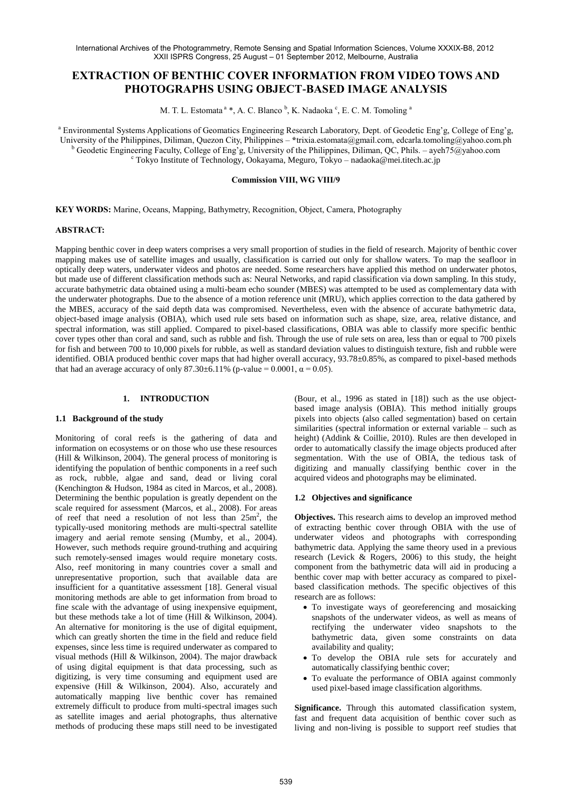# **EXTRACTION OF BENTHIC COVER INFORMATION FROM VIDEO TOWS AND PHOTOGRAPHS USING OBJECT-BASED IMAGE ANALYSIS**

M. T. L. Estomata <sup>a</sup> \*, A. C. Blanco <sup>b</sup>, K. Nadaoka <sup>c</sup>, E. C. M. Tomoling <sup>a</sup>

<sup>a</sup> Environmental Systems Applications of Geomatics Engineering Research Laboratory, Dept. of Geodetic Eng'g, College of Eng'g, University of the Philippines, Diliman, Quezon City, Philippines – **\***trixia.estomata@gmail.com, edcarla.tomoling@yahoo.com.ph <sup>b</sup> Geodetic Engineering Faculty, College of Eng'g, University of the Philippines, Diliman, QC, Phils. – ayeh75@yahoo.com <sup>c</sup> Tokyo Institute of Technology, Ookayama, Meguro, Tokyo – nadaoka@mei.titech.ac.jp

### **Commission VIII, WG VIII/9**

**KEY WORDS:** Marine, Oceans, Mapping, Bathymetry, Recognition, Object, Camera, Photography

### **ABSTRACT:**

Mapping benthic cover in deep waters comprises a very small proportion of studies in the field of research. Majority of benthic cover mapping makes use of satellite images and usually, classification is carried out only for shallow waters. To map the seafloor in optically deep waters, underwater videos and photos are needed. Some researchers have applied this method on underwater photos, but made use of different classification methods such as: Neural Networks, and rapid classification via down sampling. In this study, accurate bathymetric data obtained using a multi-beam echo sounder (MBES) was attempted to be used as complementary data with the underwater photographs. Due to the absence of a motion reference unit (MRU), which applies correction to the data gathered by the MBES, accuracy of the said depth data was compromised. Nevertheless, even with the absence of accurate bathymetric data, object-based image analysis (OBIA), which used rule sets based on information such as shape, size, area, relative distance, and spectral information, was still applied. Compared to pixel-based classifications, OBIA was able to classify more specific benthic cover types other than coral and sand, such as rubble and fish. Through the use of rule sets on area, less than or equal to 700 pixels for fish and between 700 to 10,000 pixels for rubble, as well as standard deviation values to distinguish texture, fish and rubble were identified. OBIA produced benthic cover maps that had higher overall accuracy, 93.78±0.85%, as compared to pixel-based methods that had an average accuracy of only 87.30±6.11% (p-value = 0.0001, α = 0.05).

## **1. INTRODUCTION**

#### **1.1 Background of the study**

Monitoring of coral reefs is the gathering of data and information on ecosystems or on those who use these resources (Hill & Wilkinson, 2004). The general process of monitoring is identifying the population of benthic components in a reef such as rock, rubble, algae and sand, dead or living coral (Kenchington & Hudson, 1984 as cited in Marcos, et al., 2008). Determining the benthic population is greatly dependent on the scale required for assessment (Marcos, et al., 2008). For areas of reef that need a resolution of not less than 25m<sup>2</sup> , the typically-used monitoring methods are multi-spectral satellite imagery and aerial remote sensing (Mumby, et al., 2004). However, such methods require ground-truthing and acquiring such remotely-sensed images would require monetary costs. Also, reef monitoring in many countries cover a small and unrepresentative proportion, such that available data are insufficient for a quantitative assessment [18]. General visual monitoring methods are able to get information from broad to fine scale with the advantage of using inexpensive equipment, but these methods take a lot of time (Hill & Wilkinson, 2004). An alternative for monitoring is the use of digital equipment, which can greatly shorten the time in the field and reduce field expenses, since less time is required underwater as compared to visual methods (Hill & Wilkinson, 2004). The major drawback of using digital equipment is that data processing, such as digitizing, is very time consuming and equipment used are expensive (Hill & Wilkinson, 2004). Also, accurately and automatically mapping live benthic cover has remained extremely difficult to produce from multi-spectral images such as satellite images and aerial photographs, thus alternative methods of producing these maps still need to be investigated

(Bour, et al., 1996 as stated in [18]) such as the use objectbased image analysis (OBIA). This method initially groups pixels into objects (also called segmentation) based on certain similarities (spectral information or external variable – such as height) (Addink & Coillie, 2010). Rules are then developed in order to automatically classify the image objects produced after segmentation. With the use of OBIA, the tedious task of digitizing and manually classifying benthic cover in the acquired videos and photographs may be eliminated.

# **1.2 Objectives and significance**

**Objectives.** This research aims to develop an improved method of extracting benthic cover through OBIA with the use of underwater videos and photographs with corresponding bathymetric data. Applying the same theory used in a previous research (Levick & Rogers, 2006) to this study, the height component from the bathymetric data will aid in producing a benthic cover map with better accuracy as compared to pixelbased classification methods. The specific objectives of this research are as follows:

- To investigate ways of georeferencing and mosaicking snapshots of the underwater videos, as well as means of rectifying the underwater video snapshots to the bathymetric data, given some constraints on data availability and quality;
- To develop the OBIA rule sets for accurately and automatically classifying benthic cover;
- To evaluate the performance of OBIA against commonly used pixel-based image classification algorithms.

**Significance.** Through this automated classification system, fast and frequent data acquisition of benthic cover such as living and non-living is possible to support reef studies that